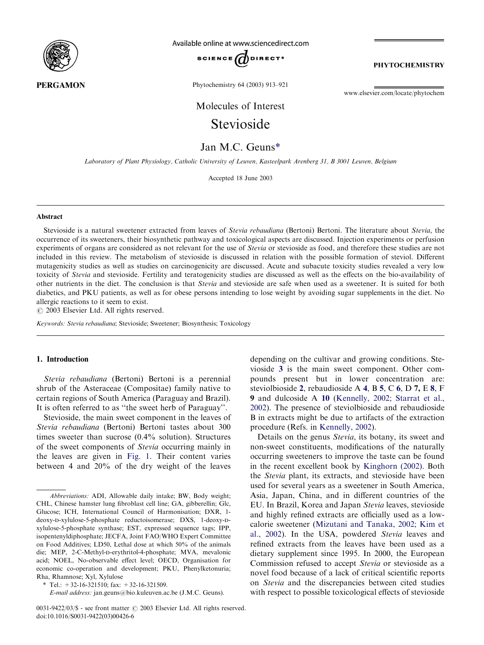

Available online at www.sciencedirect.com



**PHYTOCHEMISTRY** 

Phytochemistry 64 (2003) 913–921

[www.elsevier.com/locate/phytochem](http://www.elsevier.com/locate/phytochem/a4.3d)

Molecules of Interest

# Stevioside

Jan M.C. Geuns\*

Laboratory of Plant Physiology, Catholic University of Leuven, Kasteelpark Arenberg 31, B 3001 Leuven, Belgium

Accepted 18 June 2003

#### Abstract

Stevioside is a natural sweetener extracted from leaves of *Stevia rebaudiana* (Bertoni) Bertoni. The literature about *Stevia*, the occurrence of its sweeteners, their biosynthetic pathway and toxicological aspects are discussed. Injection experiments or perfusion experiments of organs are considered as not relevant for the use of Stevia or stevioside as food, and therefore these studies are not included in this review. The metabolism of stevioside is discussed in relation with the possible formation of steviol. Different mutagenicity studies as well as studies on carcinogenicity are discussed. Acute and subacute toxicity studies revealed a very low toxicity of Stevia and stevioside. Fertility and teratogenicity studies are discussed as well as the effects on the bio-availability of other nutrients in the diet. The conclusion is that Stevia and stevioside are safe when used as a sweetener. It is suited for both diabetics, and PKU patients, as well as for obese persons intending to lose weight by avoiding sugar supplements in the diet. No allergic reactions to it seem to exist.

 $\odot$  2003 Elsevier Ltd. All rights reserved.

Keywords: Stevia rebaudiana; Stevioside; Sweetener; Biosynthesis; Toxicology

# 1. Introduction

Stevia rebaudiana (Bertoni) Bertoni is a perennial shrub of the Asteraceae (Compositae) family native to certain regions of South America (Paraguay and Brazil). It is often referred to as ''the sweet herb of Paraguay''.

Stevioside, the main sweet component in the leaves of Stevia rebaudiana (Bertoni) Bertoni tastes about 300 times sweeter than sucrose (0.4% solution). Structures of the sweet components of Stevia occurring mainly in the leaves are given in [Fig. 1](#page-1-0). Their content varies between 4 and 20% of the dry weight of the leaves depending on the cultivar and growing conditions. Stevioside [3](#page-1-0) is the main sweet component. Other compounds present but in lower concentration are: steviolbioside [2](#page-1-0), rebaudioside A [4](#page-1-0), B [5](#page-1-0), C [6](#page-1-0), D 7, E [8](#page-1-0), F 9 and dulcoside A [10](#page-1-0) ([Kennelly, 2002; Starrat et al.,](#page-6-0) [2002\)](#page-6-0). The presence of steviolbioside and rebaudioside B in extracts might be due to artifacts of the extraction procedure (Refs. in [Kennelly, 2002](#page-6-0)).

Details on the genus Stevia, its botany, its sweet and non-sweet constituents, modifications of the naturally occurring sweeteners to improve the taste can be found in the recent excellent book by [Kinghorn \(2002\)](#page-6-0). Both the Stevia plant, its extracts, and stevioside have been used for several years as a sweetener in South America, Asia, Japan, China, and in different countries of the EU. In Brazil, Korea and Japan Stevia leaves, stevioside and highly refined extracts are officially used as a lowcalorie sweetener [\(Mizutani and Tanaka, 2002; Kim et](#page-7-0) [al., 2002](#page-7-0)). In the USA, powdered Stevia leaves and refined extracts from the leaves have been used as a dietary supplement since 1995. In 2000, the European Commission refused to accept Stevia or stevioside as a novel food because of a lack of critical scientific reports on Stevia and the discrepancies between cited studies with respect to possible toxicological effects of stevioside

Abbreviations: ADI, Allowable daily intake; BW, Body weight; CHL, Chinese hamster lung fibroblast cell line; GA, gibberellin; Glc, Glucose; ICH, International Council of Harmonisation; DXR, 1 deoxy-d-xylulose-5-phosphate reductoisomerase; DXS, 1-deoxy-dxylulose-5-phosphate synthase; EST, expressed sequence tags; IPP, isopentenyldiphosphate; JECFA, Joint FAO/WHO Expert Committee on Food Additives; LD50, Lethal dose at which 50% of the animals die; MEP, 2-C-Methyl-D-erythritol-4-phosphate; MVA, mevalonic acid; NOEL, No-observable effect level; OECD, Organisation for economic co-operation and development; PKU, Phenylketonuria; Rha, Rhamnose; Xyl, Xylulose

<sup>\*</sup> Tel.:  $+32-16-321510$ ; fax:  $+32-16-321509$ .

E-mail address: [jan.geuns@bio.kuleuven.ac.be](mailto:jan.geuns@bio.kuleuven.ac.be) (J.M.C. Geuns).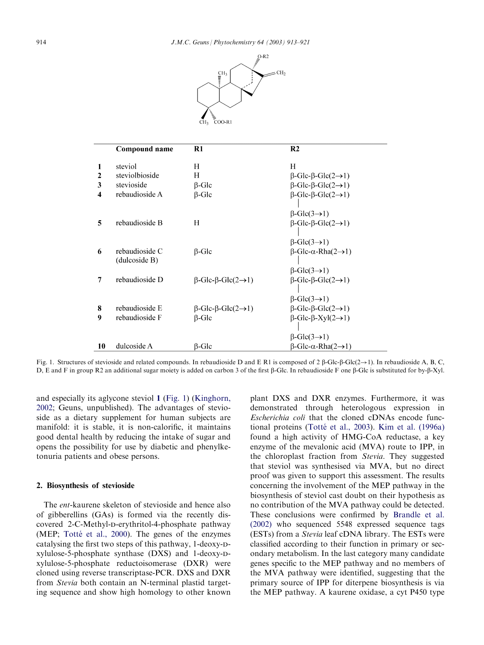

<span id="page-1-0"></span>

|              | Compound name                   | R1                                            | R <sub>2</sub>                                 |  |
|--------------|---------------------------------|-----------------------------------------------|------------------------------------------------|--|
| 1            | steviol                         | Н                                             | H                                              |  |
| $\mathbf{2}$ | steviolbioside                  | H                                             | $\beta$ -Glc- $\beta$ -Glc $(2\rightarrow 1)$  |  |
| 3            | stevioside                      | $\beta$ -Glc                                  | $\beta$ -Glc- $\beta$ -Glc $(2\rightarrow 1)$  |  |
| 4            | rebaudioside A                  | $\beta$ -Glc                                  | $\beta$ -Glc- $\beta$ -Glc(2 $\rightarrow$ 1)  |  |
|              |                                 |                                               | $\beta$ -Glc(3 $\rightarrow$ 1)                |  |
| 5            | rebaudioside B                  | Н                                             | $\beta$ -Glc- $\beta$ -Glc $(2\rightarrow 1)$  |  |
|              |                                 |                                               | $\beta$ -Glc $(3\rightarrow 1)$                |  |
| 6            | rebaudioside C<br>(dulcoside B) | $\beta$ -Glc                                  | $\beta$ -Glc- $\alpha$ -Rha $(2\rightarrow 1)$ |  |
|              |                                 |                                               | $\beta$ -Glc(3 $\rightarrow$ 1)                |  |
| 7            | rebaudioside D                  | $\beta$ -Glc- $\beta$ -Glc $(2\rightarrow 1)$ | $\beta$ -Glc- $\beta$ -Glc $(2\rightarrow 1)$  |  |
|              |                                 |                                               | $\beta$ -Glc(3 $\rightarrow$ 1)                |  |
| 8            | rebaudioside E                  | $\beta$ -Glc- $\beta$ -Glc $(2\rightarrow 1)$ | $\beta$ -Glc- $\beta$ -Glc $(2\rightarrow 1)$  |  |
| 9            | rebaudioside F                  | $\beta$ -Glc                                  | $\beta$ -Glc- $\beta$ -Xyl $(2\rightarrow 1)$  |  |
|              |                                 |                                               | $\beta$ -Glc $(3\rightarrow 1)$                |  |
| 10           | dulcoside A                     | $\beta$ -Glc                                  | $\beta$ -Glc- $\alpha$ -Rha $(2\rightarrow 1)$ |  |

Fig. 1. Structures of stevioside and related compounds. In rebaudioside D and E R1 is composed of 2  $\beta$ -Glc- $\beta$ -Glc( $2 \rightarrow 1$ ). In rebaudioside A, B, C, D, E and F in group R2 an additional sugar moiety is added on carbon 3 of the first β-Glc. In rebaudioside F one β-Glc is substituted for by-β-Xyl.

and especially its aglycone steviol 1 (Fig. 1) [\(Kinghorn,](#page-6-0) [2002;](#page-6-0) Geuns, unpublished). The advantages of stevioside as a dietary supplement for human subjects are manifold: it is stable, it is non-calorific, it maintains good dental health by reducing the intake of sugar and opens the possibility for use by diabetic and phenylketonuria patients and obese persons.

#### 2. Biosynthesis of stevioside

The ent-kaurene skeleton of stevioside and hence also of gibberellins (GAs) is formed via the recently discovered 2-C-Methyl-p-erythritol-4-phosphate pathway (MEP; Totté et al.,  $2000$ ). The genes of the enzymes catalysing the first two steps of this pathway, 1-deoxy-Dxylulose-5-phosphate synthase (DXS) and 1-deoxy-dxylulose-5-phosphate reductoisomerase (DXR) were cloned using reverse transcriptase-PCR. DXS and DXR from Stevia both contain an N-terminal plastid targeting sequence and show high homology to other known plant DXS and DXR enzymes. Furthermore, it was demonstrated through heterologous expression in Escherichia coli that the cloned cDNAs encode functional proteins (Totté [et al., 2003](#page-7-0)). [Kim et al. \(1996a\)](#page-6-0) found a high activity of HMG-CoA reductase, a key enzyme of the mevalonic acid (MVA) route to IPP, in the chloroplast fraction from Stevia. They suggested that steviol was synthesised via MVA, but no direct proof was given to support this assessment. The results concerning the involvement of the MEP pathway in the biosynthesis of steviol cast doubt on their hypothesis as no contribution of the MVA pathway could be detected. These conclusions were confirmed by [Brandle et al.](#page-6-0) [\(2002\)](#page-6-0) who sequenced 5548 expressed sequence tags (ESTs) from a Stevia leaf cDNA library. The ESTs were classified according to their function in primary or secondary metabolism. In the last category many candidate genes specific to the MEP pathway and no members of the MVA pathway were identified, suggesting that the primary source of IPP for diterpene biosynthesis is via the MEP pathway. A kaurene oxidase, a cyt P450 type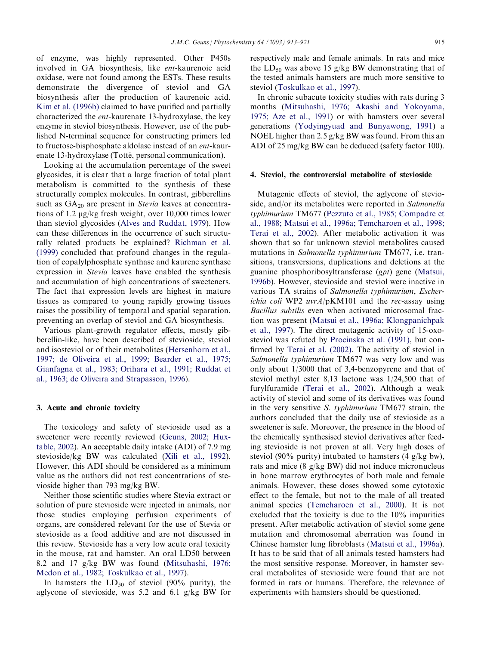of enzyme, was highly represented. Other P450s involved in GA biosynthesis, like ent-kaurenoic acid oxidase, were not found among the ESTs. These results demonstrate the divergence of steviol and GA biosynthesis after the production of kaurenoic acid. [Kim et al. \(1996b\)](#page-6-0) claimed to have purified and partially characterized the ent-kaurenate 13-hydroxylase, the key enzyme in steviol biosynthesis. However, use of the published N-terminal sequence for constructing primers led to fructose-bisphosphate aldolase instead of an ent-kaurenate 13-hydroxylase (Totté, personal communication).

Looking at the accumulation percentage of the sweet glycosides, it is clear that a large fraction of total plant metabolism is committed to the synthesis of these structurally complex molecules. In contrast, gibberellins such as  $GA_{20}$  are present in Stevia leaves at concentrations of 1.2 mg/kg fresh weight, over 10,000 times lower than steviol glycosides [\(Alves and Ruddat, 1979\)](#page-6-0). How can these differences in the occurrence of such structurally related products be explained? [Richman et al.](#page-7-0) [\(1999\)](#page-7-0) concluded that profound changes in the regulation of copalylphosphate synthase and kaurene synthase expression in Stevia leaves have enabled the synthesis and accumulation of high concentrations of sweeteners. The fact that expression levels are highest in mature tissues as compared to young rapidly growing tissues raises the possibility of temporal and spatial separation, preventing an overlap of steviol and GA biosynthesis.

Various plant-growth regulator effects, mostly gibberellin-like, have been described of stevioside, steviol and isosteviol or of their metabolites [\(Hersenhorn et al.,](#page-6-0) [1997; de Oliveira et al., 1999; Bearder et al., 1975;](#page-6-0) [Gianfagna et al., 1983; Orihara et al., 1991; Ruddat et](#page-6-0) [al., 1963; de Oliveira and Strapasson, 1996\)](#page-6-0).

#### 3. Acute and chronic toxicity

The toxicology and safety of stevioside used as a sweetener were recently reviewed [\(Geuns, 2002; Hux](#page-6-0)[table, 2002\)](#page-6-0). An acceptable daily intake (ADI) of 7.9 mg stevioside/kg BW was calculated ([Xili et al., 1992\)](#page-7-0). However, this ADI should be considered as a minimum value as the authors did not test concentrations of stevioside higher than 793 mg/kg BW.

Neither those scientific studies where Stevia extract or solution of pure stevioside were injected in animals, nor those studies employing perfusion experiments of organs, are considered relevant for the use of Stevia or stevioside as a food additive and are not discussed in this review. Stevioside has a very low acute oral toxicity in the mouse, rat and hamster. An oral LD50 between 8.2 and 17 g/kg BW was found ([Mitsuhashi, 1976;](#page-7-0) [Medon et al., 1982; Toskulkao et al., 1997](#page-7-0)).

In hamsters the  $LD_{50}$  of steviol (90% purity), the aglycone of stevioside, was 5.2 and 6.1 g/kg BW for

respectively male and female animals. In rats and mice the  $LD_{50}$  was above 15 g/kg BW demonstrating that of the tested animals hamsters are much more sensitive to steviol ([Toskulkao et al., 1997](#page-7-0)).

In chronic subacute toxicity studies with rats during 3 months ([Mitsuhashi, 1976; Akashi and Yokoyama,](#page-7-0) [1975; Aze et al., 1991](#page-7-0)) or with hamsters over several generations [\(Yodyingyuad and Bunyawong, 1991](#page-8-0)) a NOEL higher than 2.5 g/kg BW was found. From this an ADI of 25 mg/kg BW can be deduced (safety factor 100).

#### 4. Steviol, the controversial metabolite of stevioside

Mutagenic effects of steviol, the aglycone of stevioside, and/or its metabolites were reported in Salmonella typhimurium TM677 ([Pezzuto et al., 1985; Compadre et](#page-7-0) [al., 1988; Matsui et al., 1996a; Temcharoen et al., 1998;](#page-7-0) [Terai et al., 2002\)](#page-7-0). After metabolic activation it was shown that so far unknown steviol metabolites caused mutations in Salmonella typhimurium TM677, i.e. transitions, transversions, duplications and deletions at the guanine phosphoribosyltransferase (gpt) gene ([Matsui,](#page-7-0) [1996b](#page-7-0)). However, stevioside and steviol were inactive in various TA strains of Salmonella typhimurium, Escherichia coli WP2  $uvrA/pKM101$  and the rec-assay using Bacillus subtilis even when activated microsomal fraction was present [\(Matsui et al., 1996a; Klongpanichpak](#page-7-0) [et al., 1997](#page-7-0)). The direct mutagenic activity of 15-oxosteviol was refuted by [Procinska et al. \(1991\)](#page-7-0), but confirmed by [Terai et al. \(2002\)](#page-7-0). The activity of steviol in Salmonella typhimurium TM677 was very low and was only about 1/3000 that of 3,4-benzopyrene and that of steviol methyl ester 8,13 lactone was 1/24,500 that of furylfuramide ([Terai et al., 2002](#page-7-0)). Although a weak activity of steviol and some of its derivatives was found in the very sensitive S. typhimurium TM677 strain, the authors concluded that the daily use of stevioside as a sweetener is safe. Moreover, the presence in the blood of the chemically synthesised steviol derivatives after feeding stevioside is not proven at all. Very high doses of steviol (90% purity) intubated to hamsters (4  $g/kg$  bw), rats and mice (8 g/kg BW) did not induce micronucleus in bone marrow erythrocytes of both male and female animals. However, these doses showed some cytotoxic effect to the female, but not to the male of all treated animal species ([Temcharoen et al., 2000](#page-7-0)). It is not excluded that the toxicity is due to the 10% impurities present. After metabolic activation of steviol some gene mutation and chromosomal aberration was found in Chinese hamster lung fibroblasts [\(Matsui et al., 1996a\)](#page-7-0). It has to be said that of all animals tested hamsters had the most sensitive response. Moreover, in hamster several metabolites of stevioside were found that are not formed in rats or humans. Therefore, the relevance of experiments with hamsters should be questioned.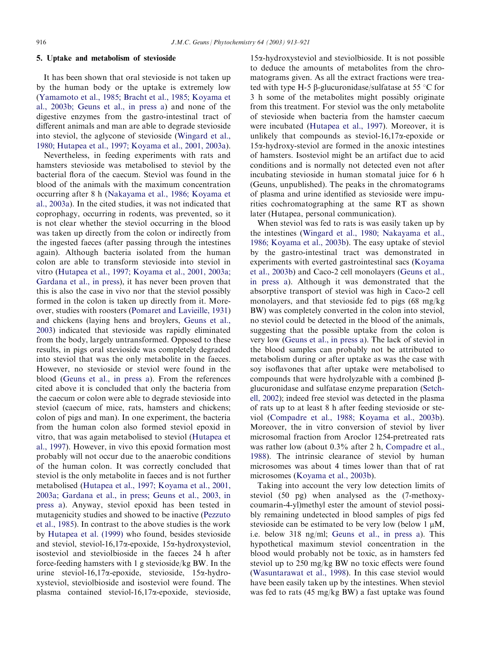### 5. Uptake and metabolism of stevioside

It has been shown that oral stevioside is not taken up by the human body or the uptake is extremely low [\(Yamamoto et al., 1985; Bracht et al., 1985; Koyama et](#page-8-0) [al., 2003b; Geuns et al., in press a\)](#page-8-0) and none of the digestive enzymes from the gastro-intestinal tract of different animals and man are able to degrade stevioside into steviol, the aglycone of stevioside [\(Wingard et al.,](#page-7-0) [1980; Hutapea et al., 1997; Koyama et al., 2001, 2003a\)](#page-7-0).

Nevertheless, in feeding experiments with rats and hamsters stevioside was metabolised to steviol by the bacterial flora of the caecum. Steviol was found in the blood of the animals with the maximum concentration occurring after 8 h [\(Nakayama et al., 1986; Koyama et](#page-7-0) [al., 2003a\)](#page-7-0). In the cited studies, it was not indicated that coprophagy, occurring in rodents, was prevented, so it is not clear whether the steviol occurring in the blood was taken up directly from the colon or indirectly from the ingested faeces (after passing through the intestines again). Although bacteria isolated from the human colon are able to transform stevioside into steviol in vitro ([Hutapea et al., 1997; Koyama et al., 2001, 2003a;](#page-6-0) [Gardana et al., in press](#page-6-0)), it has never been proven that this is also the case in vivo nor that the steviol possibly formed in the colon is taken up directly from it. Moreover, studies with roosters ([Pomaret and Lavieille, 1931\)](#page-7-0) and chickens (laying hens and broylers, [Geuns et al.,](#page-6-0) [2003\)](#page-6-0) indicated that stevioside was rapidly eliminated from the body, largely untransformed. Opposed to these results, in pigs oral stevioside was completely degraded into steviol that was the only metabolite in the faeces. However, no stevioside or steviol were found in the blood ([Geuns et al., in press a](#page-6-0)). From the references cited above it is concluded that only the bacteria from the caecum or colon were able to degrade stevioside into steviol (caecum of mice, rats, hamsters and chickens; colon of pigs and man). In one experiment, the bacteria from the human colon also formed steviol epoxid in vitro, that was again metabolised to steviol [\(Hutapea et](#page-6-0) [al., 1997\)](#page-6-0). However, in vivo this epoxid formation most probably will not occur due to the anaerobic conditions of the human colon. It was correctly concluded that steviol is the only metabolite in faeces and is not further metabolised [\(Hutapea et al., 1997; Koyama et al., 2001,](#page-6-0) [2003a; Gardana et al., in press; Geuns et al., 2003, in](#page-6-0) [press a\)](#page-6-0). Anyway, steviol epoxid has been tested in mutagenicity studies and showed to be inactive [\(Pezzuto](#page-7-0) [et al., 1985](#page-7-0)). In contrast to the above studies is the work by [Hutapea et al. \(1999\)](#page-6-0) who found, besides stevioside and steviol, steviol-16,17a-epoxide, 15a-hydroxysteviol, isosteviol and steviolbioside in the faeces 24 h after force-feeding hamsters with 1 g stevioside/kg BW. In the urine steviol-16,17a-epoxide, stevioside, 15a-hydroxysteviol, steviolbioside and isosteviol were found. The plasma contained steviol-16,17a-epoxide, stevioside,

15a-hydroxysteviol and steviolbioside. It is not possible to deduce the amounts of metabolites from the chromatograms given. As all the extract fractions were treated with type H-5  $\beta$ -glucuronidase/sulfatase at 55 °C for 3 h some of the metabolites might possibly originate from this treatment. For steviol was the only metabolite of stevioside when bacteria from the hamster caecum were incubated ([Hutapea et al., 1997\)](#page-6-0). Moreover, it is unlikely that compounds as steviol-16,17 $\alpha$ -epoxide or  $15\alpha$ -hydroxy-steviol are formed in the anoxic intestines of hamsters. Isosteviol might be an artifact due to acid conditions and is normally not detected even not after incubating stevioside in human stomatal juice for 6 h (Geuns, unpublished). The peaks in the chromatograms of plasma and urine identified as stevioside were impurities cochromatographing at the same RT as shown later (Hutapea, personal communication).

When steviol was fed to rats is was easily taken up by the intestines ([Wingard et al., 1980; Nakayama et al.,](#page-7-0) [1986; Koyama et al., 2003b\)](#page-7-0). The easy uptake of steviol by the gastro-intestinal tract was demonstrated in experiments with everted gastrointestinal sacs [\(Koyama](#page-7-0) [et al., 2003b](#page-7-0)) and Caco-2 cell monolayers [\(Geuns et al.,](#page-6-0) [in press a](#page-6-0)). Although it was demonstrated that the absorptive transport of steviol was high in Caco-2 cell monolayers, and that stevioside fed to pigs (68 mg/kg BW) was completely converted in the colon into steviol, no steviol could be detected in the blood of the animals, suggesting that the possible uptake from the colon is very low ([Geuns et al., in press a\)](#page-6-0). The lack of steviol in the blood samples can probably not be attributed to metabolism during or after uptake as was the case with soy isoflavones that after uptake were metabolised to compounds that were hydrolyzable with a combined  $\beta$ glucuronidase and sulfatase enzyme preparation ([Setch](#page-7-0)[ell, 2002](#page-7-0)); indeed free steviol was detected in the plasma of rats up to at least 8 h after feeding stevioside or steviol [\(Compadre et al., 1988; Koyama et al., 2003b\)](#page-6-0). Moreover, the in vitro conversion of steviol by liver microsomal fraction from Aroclor 1254-pretreated rats was rather low (about 0.3% after 2 h, [Compadre et al.,](#page-6-0) [1988\)](#page-6-0). The intrinsic clearance of steviol by human microsomes was about 4 times lower than that of rat microsomes ([Koyama et al., 2003b\)](#page-7-0).

Taking into account the very low detection limits of steviol (50 pg) when analysed as the (7-methoxycoumarin-4-yl)methyl ester the amount of steviol possibly remaining undetected in blood samples of pigs fed stevioside can be estimated to be very low (below 1  $\mu$ M, i.e. below 318 ng/ml; [Geuns et al., in press a](#page-6-0)). This hypothetical maximum steviol concentration in the blood would probably not be toxic, as in hamsters fed steviol up to 250 mg/kg BW no toxic effects were found [\(Wasuntarawat et al., 1998\)](#page-7-0). In this case steviol would have been easily taken up by the intestines. When steviol was fed to rats (45 mg/kg BW) a fast uptake was found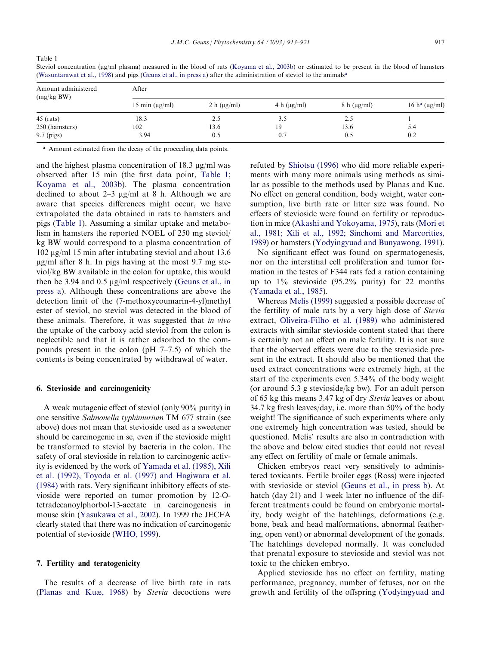| Amount administered<br>(mg/kg BW) | After               |                  |                  |                  |                                 |  |
|-----------------------------------|---------------------|------------------|------------------|------------------|---------------------------------|--|
|                                   | 15 min $(\mu g/ml)$ | 2 h $(\mu g/ml)$ | 4 h $(\mu g/ml)$ | $8 h (\mu g/ml)$ | 16 h <sup>a</sup> ( $\mu$ g/ml) |  |
| $45$ (rats)                       | 18.3                | 2.5              | 3.5              | 2.5              |                                 |  |
| 250 (hamsters)                    | 102                 | 13.6             | 19               | 13.6             | 5.4                             |  |
| 9.7 (pigs)                        | 3.94                | 0.5              | 0.7              | 0.5              | 0.2                             |  |

Steviol concentration (ug/ml plasma) measured in the blood of rats ([Koyama et al., 2003b\)](#page-7-0) or estimated to be present in the blood of hamsters ([Wasuntarawat et al., 1998\)](#page-7-0) and pigs ([Geuns et al., in press a\)](#page-6-0) after the administration of steviol to the animalsa

<sup>a</sup> Amount estimated from the decay of the proceeding data points.

Table 1

and the highest plasma concentration of 18.3  $\mu$ g/ml was observed after 15 min (the first data point, Table 1; [Koyama et al., 2003b](#page-7-0)). The plasma concentration declined to about 2–3  $\mu$ g/ml at 8 h. Although we are aware that species differences might occur, we have extrapolated the data obtained in rats to hamsters and pigs (Table 1). Assuming a similar uptake and metabolism in hamsters the reported NOEL of 250 mg steviol/ kg BW would correspond to a plasma concentration of  $102 \mu g/ml$  15 min after intubating steviol and about 13.6  $\mu$ g/ml after 8 h. In pigs having at the most 9.7 mg steviol/kg BW available in the colon for uptake, this would then be 3.94 and 0.5  $\mu$ g/ml respectively [\(Geuns et al., in](#page-6-0) [press a\)](#page-6-0). Although these concentrations are above the detection limit of the (7-methoxycoumarin-4-yl)methyl ester of steviol, no steviol was detected in the blood of these animals. Therefore, it was suggested that in vivo the uptake of the carboxy acid steviol from the colon is neglectible and that it is rather adsorbed to the compounds present in the colon (pH 7–7.5) of which the contents is being concentrated by withdrawal of water.

## 6. Stevioside and carcinogenicity

A weak mutagenic effect of steviol (only 90% purity) in one sensitive Salmonella typhimurium TM 677 strain (see above) does not mean that stevioside used as a sweetener should be carcinogenic in se, even if the stevioside might be transformed to steviol by bacteria in the colon. The safety of oral stevioside in relation to carcinogenic activity is evidenced by the work of [Yamada et al. \(1985\), Xili](#page-8-0) [et al. \(1992\), Toyoda et al. \(1997\) and Hagiwara et al.](#page-8-0) [\(1984\)](#page-8-0) with rats. Very significant inhibitory effects of stevioside were reported on tumor promotion by 12-Otetradecanoylphorbol-13-acetate in carcinogenesis in mouse skin ([Yasukawa et al., 2002\)](#page-8-0). In 1999 the JECFA clearly stated that there was no indication of carcinogenic potential of stevioside [\(WHO, 1999\)](#page-7-0).

## 7. Fertility and teratogenicity

The results of a decrease of live birth rate in rats [\(Planas and Kuæ, 1968](#page-7-0)) by Stevia decoctions were refuted by [Shiotsu \(1996\)](#page-7-0) who did more reliable experiments with many more animals using methods as similar as possible to the methods used by Planas and Kuc. No effect on general condition, body weight, water consumption, live birth rate or litter size was found. No effects of stevioside were found on fertility or reproduction in mice (Akashi and Yokoyama, 1975), rats [\(Mori et](#page-7-0) [al., 1981; Xili et al., 1992; Sinchomi and Marcorities,](#page-7-0) [1989\)](#page-7-0) or hamsters ([Yodyingyuad and Bunyawong, 1991\)](#page-8-0).

No significant effect was found on spermatogenesis, nor on the interstitial cell proliferation and tumor formation in the testes of F344 rats fed a ration containing up to 1% stevioside (95.2% purity) for 22 months [\(Yamada et al., 1985](#page-8-0)).

Whereas [Melis \(1999\)](#page-7-0) suggested a possible decrease of the fertility of male rats by a very high dose of Stevia extract, [Oliveira-Filho et al. \(1989\)](#page-7-0) who administered extracts with similar stevioside content stated that there is certainly not an effect on male fertility. It is not sure that the observed effects were due to the stevioside present in the extract. It should also be mentioned that the used extract concentrations were extremely high, at the start of the experiments even 5.34% of the body weight (or around 5.3 g stevioside/kg bw). For an adult person of 65 kg this means 3.47 kg of dry Stevia leaves or about 34.7 kg fresh leaves/day, i.e. more than 50% of the body weight! The significance of such experiments where only one extremely high concentration was tested, should be questioned. Melis' results are also in contradiction with the above and below cited studies that could not reveal any effect on fertility of male or female animals.

Chicken embryos react very sensitively to administered toxicants. Fertile broiler eggs (Ross) were injected with stevioside or steviol [\(Geuns et al., in press b](#page-6-0)). At hatch (day 21) and 1 week later no influence of the different treatments could be found on embryonic mortality, body weight of the hatchlings, deformations (e.g. bone, beak and head malformations, abnormal feathering, open vent) or abnormal development of the gonads. The hatchlings developed normally. It was concluded that prenatal exposure to stevioside and steviol was not toxic to the chicken embryo.

Applied stevioside has no effect on fertility, mating performance, pregnancy, number of fetuses, nor on the growth and fertility of the offspring ([Yodyingyuad and](#page-8-0)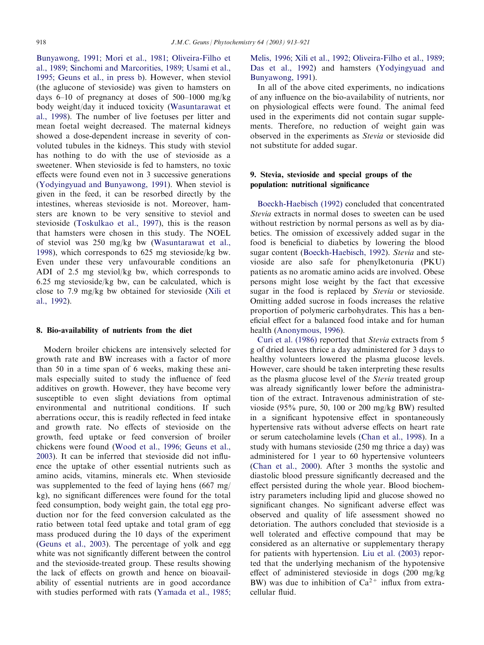[Bunyawong, 1991; Mori et al., 1981; Oliveira-Filho et](#page-8-0) [al., 1989; Sinchomi and Marcorities, 1989; Usami et al.,](#page-8-0) [1995; Geuns et al., in press b\)](#page-8-0). However, when steviol (the aglucone of stevioside) was given to hamsters on days 6–10 of pregnancy at doses of 500–1000 mg/kg body weight/day it induced toxicity ([Wasuntarawat et](#page-7-0) [al., 1998\)](#page-7-0). The number of live foetuses per litter and mean foetal weight decreased. The maternal kidneys showed a dose-dependent increase in severity of convoluted tubules in the kidneys. This study with steviol has nothing to do with the use of stevioside as a sweetener. When stevioside is fed to hamsters, no toxic effects were found even not in 3 successive generations [\(Yodyingyuad and Bunyawong, 1991](#page-8-0)). When steviol is given in the feed, it can be resorbed directly by the intestines, whereas stevioside is not. Moreover, hamsters are known to be very sensitive to steviol and stevioside [\(Toskulkao et al., 1997](#page-7-0)), this is the reason that hamsters were chosen in this study. The NOEL of steviol was 250 mg/kg bw [\(Wasuntarawat et al.,](#page-7-0) [1998\)](#page-7-0), which corresponds to 625 mg stevioside/kg bw. Even under these very unfavourable conditions an ADI of 2.5 mg steviol/kg bw, which corresponds to 6.25 mg stevioside/kg bw, can be calculated, which is close to 7.9 mg/kg bw obtained for stevioside [\(Xili et](#page-7-0) [al., 1992](#page-7-0)).

#### 8. Bio-availability of nutrients from the diet

Modern broiler chickens are intensively selected for growth rate and BW increases with a factor of more than 50 in a time span of 6 weeks, making these animals especially suited to study the influence of feed additives on growth. However, they have become very susceptible to even slight deviations from optimal environmental and nutritional conditions. If such aberrations occur, this is readily reflected in feed intake and growth rate. No effects of stevioside on the growth, feed uptake or feed conversion of broiler chickens were found ([Wood et al., 1996; Geuns et al.,](#page-7-0) [2003\)](#page-7-0). It can be inferred that stevioside did not influence the uptake of other essential nutrients such as amino acids, vitamins, minerals etc. When stevioside was supplemented to the feed of laying hens (667 mg/ kg), no significant differences were found for the total feed consumption, body weight gain, the total egg production nor for the feed conversion calculated as the ratio between total feed uptake and total gram of egg mass produced during the 10 days of the experiment [\(Geuns et al., 2003](#page-6-0)). The percentage of yolk and egg white was not significantly different between the control and the stevioside-treated group. These results showing the lack of effects on growth and hence on bioavailability of essential nutrients are in good accordance with studies performed with rats [\(Yamada et al., 1985;](#page-8-0)

[Melis, 1996; Xili et al., 1992; Oliveira-Filho et al., 1989;](#page-8-0) [Das et al., 1992\)](#page-8-0) and hamsters [\(Yodyingyuad and](#page-8-0) [Bunyawong, 1991](#page-8-0)).

In all of the above cited experiments, no indications of any influence on the bio-availability of nutrients, nor on physiological effects were found. The animal feed used in the experiments did not contain sugar supplements. Therefore, no reduction of weight gain was observed in the experiments as Stevia or stevioside did not substitute for added sugar.

# 9. Stevia, stevioside and special groups of the population: nutritional significance

[Boeckh-Haebisch \(1992\)](#page-6-0) concluded that concentrated Stevia extracts in normal doses to sweeten can be used without restriction by normal persons as well as by diabetics. The omission of excessively added sugar in the food is beneficial to diabetics by lowering the blood sugar content [\(Boeckh-Haebisch, 1992\)](#page-6-0). Stevia and stevioside are also safe for phenylketonuria (PKU) patients as no aromatic amino acids are involved. Obese persons might lose weight by the fact that excessive sugar in the food is replaced by Stevia or stevioside. Omitting added sucrose in foods increases the relative proportion of polymeric carbohydrates. This has a beneficial effect for a balanced food intake and for human health ([Anonymous, 1996\)](#page-6-0).

[Curi et al. \(1986\)](#page-6-0) reported that Stevia extracts from 5 g of dried leaves thrice a day administered for 3 days to healthy volunteers lowered the plasma glucose levels. However, care should be taken interpreting these results as the plasma glucose level of the Stevia treated group was already significantly lower before the administration of the extract. Intravenous administration of stevioside (95% pure, 50, 100 or 200 mg/kg BW) resulted in a significant hypotensive effect in spontaneously hypertensive rats without adverse effects on heart rate or serum catecholamine levels ([Chan et al., 1998](#page-6-0)). In a study with humans stevioside (250 mg thrice a day) was administered for 1 year to 60 hypertensive volunteers [\(Chan et al., 2000](#page-6-0)). After 3 months the systolic and diastolic blood pressure significantly decreased and the effect persisted during the whole year. Blood biochemistry parameters including lipid and glucose showed no significant changes. No significant adverse effect was observed and quality of life assessment showed no detoriation. The authors concluded that stevioside is a well tolerated and effective compound that may be considered as an alternative or supplementary therapy for patients with hypertension. [Liu et al. \(2003\)](#page-7-0) reported that the underlying mechanism of the hypotensive effect of administered stevioside in dogs (200 mg/kg BW) was due to inhibition of  $Ca^{2+}$  influx from extracellular fluid.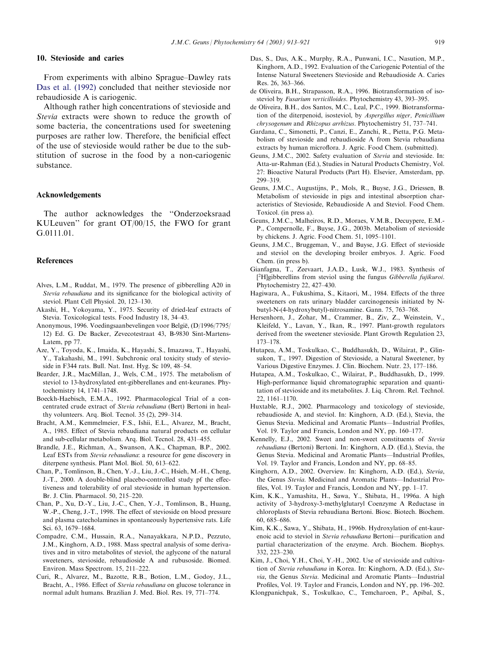## <span id="page-6-0"></span>10. Stevioside and caries

From experiments with albino Sprague–Dawley rats Das et al. (1992) concluded that neither stevioside nor rebaudioside A is cariogenic.

Although rather high concentrations of stevioside and Stevia extracts were shown to reduce the growth of some bacteria, the concentrations used for sweetening purposes are rather low. Therefore, the benificial effect of the use of stevioside would rather be due to the substitution of sucrose in the food by a non-cariogenic substance.

## Acknowledgements

The author acknowledges the ''Onderzoeksraad KULeuven'' for grant OT/00/15, the FWO for grant G.0111.01.

## References

- Alves, L.M., Ruddat, M., 1979. The presence of gibberelling A20 in Stevia rebaudiana and its significance for the biological activity of steviol. Plant Cell Physiol. 20, 123–130.
- Akashi, H., Yokoyama, Y., 1975. Security of dried-leaf extracts of Stevia. Toxicological tests. Food Industry 18, 34–43.
- Anonymous, 1996. Voedingsaanbevelingen voor België, (D/1996/7795/ 12) Ed. G. De Backer, Zevecotestraat 43, B-9830 Sint-Martens-Latem, pp 77.
- Aze, Y., Toyoda, K., Imaida, K., Hayashi, S., Imazawa, T., Hayashi, Y., Takahashi, M., 1991. Subchronic oral toxicity study of stevioside in F344 rats. Bull. Nat. Inst. Hyg. Sc 109, 48–54.
- Bearder, J.R., MacMillan, J., Wels, C.M., 1975. The metabolism of steviol to 13-hydroxylated ent-gibberellanes and ent-keuranes. Phytochemistry 14, 1741–1748.
- Boeckh-Haebisch, E.M.A., 1992. Pharmacological Trial of a concentrated crude extract of Stevia rebaudiana (Bert) Bertoni in healthy volunteers. Arq. Biol. Tecnol. 35 (2), 299–314.
- Bracht, A.M., Kemmelmeier, F.S., Ishii, E.L., Alvarez, M., Bracht, A., 1985. Effect of Stevia rebaudiana natural products on cellular and sub-cellular metabolism. Arq. Biol. Tecnol. 28, 431–455.
- Brandle, J.E., Richman, A., Swanson, A.K., Chapman, B.P., 2002. Leaf ESTs from Stevia rebaudiana: a resource for gene discovery in diterpene synthesis. Plant Mol. Biol. 50, 613–622.
- Chan, P., Tomlinson, B., Chen, Y.-J., Liu, J.-C., Hsieh, M.-H., Cheng, J.-T., 2000. A double-blind placebo-controlled study pf the effectiveness and tolerability of oral stevioside in human hypertension. Br. J. Clin. Pharmacol. 50, 215–220.
- Chan, P., Xu, D.-Y., Liu, J.-C., Chen, Y.-J., Tomlinson, B., Huang, W.-P., Cheng, J.-T., 1998. The effect of stevioside on blood pressure and plasma catecholamines in spontaneously hypertensive rats. Life Sci. 63, 1679–1684.
- Compadre, C.M., Hussain, R.A., Nanayakkara, N.P.D., Pezzuto, J.M., Kinghorn, A.D., 1988. Mass spectral analysis of some derivatives and in vitro metabolites of steviol, the aglycone of the natural sweeteners, stevioside, rebaudioside A and rubusoside. Biomed. Environ. Mass Spectrom. 15, 211–222.
- Curi, R., Alvarez, M., Bazotte, R.B., Botion, L.M., Godoy, J.L., Bracht, A., 1986. Effect of Stevia rebaudiana on glucose tolerance in normal adult humans. Brazilian J. Med. Biol. Res. 19, 771–774.
- Das, S., Das, A.K., Murphy, R.A., Punwani, I.C., Nasution, M.P., Kinghorn, A.D., 1992. Evaluation of the Cariogenic Potential of the Intense Natural Sweeteners Stevioside and Rebaudioside A. Caries Res. 26, 363–366.
- de Oliveira, B.H., Strapasson, R.A., 1996. Biotransformation of isosteviol by Fusarium verticilloides. Phytochemistry 43, 393–395.
- de Oliveira, B.H., dos Santos, M.C., Leal, P.C., 1999. Biotransformation of the diterpenoid, isosteviol, by Aspergillus niger, Penicillium chrysogenum and Rhizopus arrhizus. Phytochemistry 51, 737–741.
- Gardana, C., Simonetti, P., Canzi, E., Zanchi, R., Pietta, P.G. Metabolism of stevioside and rebaudioside A from Stevia rebaudiana extracts by human microflora. J. Agric. Food Chem. (submitted).
- Geuns, J.M.C., 2002. Safety evaluation of Stevia and stevioside. In: Atta-ur-Rahman (Ed.), Studies in Natural Products Chemistry, Vol. 27: Bioactive Natural Products (Part H). Elsevier, Amsterdam, pp. 299–319.
- Geuns, J.M.C., Augustijns, P., Mols, R., Buyse, J.G., Driessen, B. Metabolism of stevioside in pigs and intestinal absorption characteristics of Stevioside, Rebaudioside A and Steviol. Food Chem. Toxicol. (in press a).
- Geuns, J.M.C., Malheiros, R.D., Moraes, V.M.B., Decuypere, E.M.- P., Compernolle, F., Buyse, J.G., 2003b. Metabolism of stevioside by chickens. J. Agric. Food Chem. 51, 1095–1101.
- Geuns, J.M.C., Bruggeman, V., and Buyse, J.G. Effect of stevioside and steviol on the developing broiler embryos. J. Agric. Food Chem. (in press b).
- Gianfagna, T., Zeevaart, J.A.D., Lusk, W.J., 1983. Synthesis of <sup>2</sup>H]gibberellins from steviol using the fungus Gibberella fujikuroi. Phytochemistry 22, 427–430.
- Hagiwara, A., Fukushima, S., Kitaori, M., 1984. Effects of the three sweeteners on rats urinary bladder carcinogenesis initiated by Nbutyl-N-(4-hydroxybutyl)-nitrosamine. Gann. 75, 763–768.
- Hersenhorn, J., Zohar, M., Crammer, B., Ziv, Z., Weinstein, V., Kleifeld, Y., Lavan, Y., Ikan, R., 1997. Plant-growth regulators derived from the sweetener stevioside. Plant Growth Regulation 23, 173–178.
- Hutapea, A.M., Toskulkao, C., Buddhasukh, D., Wilairat, P., Glinsukon, T., 1997. Digestion of Stevioside, a Natural Sweetener, by Various Digestive Enzymes. J. Clin. Biochem. Nutr. 23, 177–186.
- Hutapea, A.M., Toskulkao, C., Wilairat, P., Buddhasukh, D., 1999. High-performance liquid chromatographic separation and quantitation of stevioside and its metabolites. J. Liq. Chrom. Rel. Technol. 22, 1161–1170.
- Huxtable, R.J., 2002. Pharmacology and toxicology of stevioside, rebaudioside A, and steviol. In: Kinghorn, A.D. (Ed.), Stevia, the Genus Stevia. Medicinal and Aromatic Plants—Industrial Profiles, Vol. 19. Taylor and Francis, London and NY, pp. 160–177.
- Kennelly, E.J., 2002. Sweet and non-sweet constituents of Stevia rebaudiana (Bertoni) Bertoni. In: Kinghorn, A.D. (Ed.), Stevia, the Genus Stevia. Medicinal and Aromatic Plants—Industrial Profiles, Vol. 19. Taylor and Francis, London and NY, pp. 68–85.
- Kinghorn, A.D., 2002. Overview. In: Kinghorn, A.D. (Ed.), Stevia, the Genus Stevia. Medicinal and Aromatic Plants—Industrial Profiles, Vol. 19. Taylor and Francis, London and NY, pp. 1–17.
- Kim, K.K., Yamashita, H., Sawa, Y., Shibata, H., 1996a. A high activity of 3-hydroxy-3-methylglutaryl Coenzyme A Reductase in chloroplasts of Stevia rebaudiana Bertoni. Biosc. Biotech. Biochem. 60, 685–686.
- Kim, K.K., Sawa, Y., Shibata, H., 1996b. Hydroxylation of ent-kaurenoic acid to steviol in Stevia rebaudiana Bertoni—purification and partial characterization of the enzyme. Arch. Biochem. Biophys. 332, 223–230.
- Kim, J., Choi, Y.H., Choi, Y.-H., 2002. Use of stevioside and cultivation of Stevia rebaudiana in Korea. In: Kinghorn, A.D. (Ed.), Stevia, the Genus Stevia. Medicinal and Aromatic Plants—Industrial Profiles, Vol. 19. Taylor and Francis, London and NY, pp. 196–202.
- Klongpanichpak, S., Toskulkao, C., Temcharoen, P., Apibal, S.,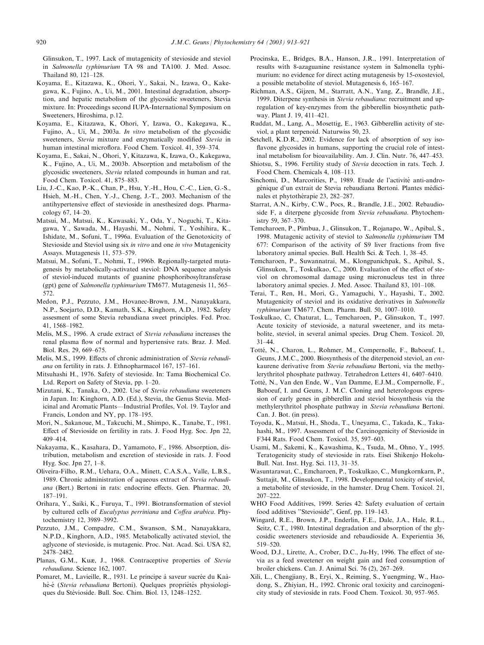<span id="page-7-0"></span>Glinsukon, T., 1997. Lack of mutagenicity of stevioside and steviol in Salmonella typhimurium TA 98 and TA100. J. Med. Assoc. Thailand 80, 121–128.

- Koyama, E., Kitazawa, K., Ohori, Y., Sakai, N., Izawa, O., Kakegawa, K., Fujino, A., Ui, M., 2001. Intestinal degradation, absorption, and hepatic metabolism of the glycosidic sweeteners, Stevia mixture. In: Proceedings second IUPA-International Symposium on Sweeteners, Hiroshima, p.12.
- Koyama, E., Kitazawa, K, Ohori, Y, Izawa, O., Kakegawa, K., Fujino, A., Ui, M., 2003a. In vitro metabolism of the glycosidic sweeteners, Stevia mixture and enzymatically modified Stevia in human intestinal microflora. Food Chem. Toxicol. 41, 359–374.
- Koyama, E., Sakai, N., Ohori, Y, Kitazawa, K, Izawa, O., Kakegawa, K., Fujino, A., Ui, M., 2003b. Absorption and metabolism of the glycosidic sweeteners, Stevia related compounds in human and rat. Food Chem. Toxicol. 41, 875–883.
- Liu, J.-C., Kao, P.-K., Chan, P., Hsu, Y.-H., Hou, C.-C., Lien, G.-S., Hsieh, M.-H., Chen, Y.-J., Cheng, J.-T., 2003. Mechanism of the antihypertensive effect of stevioside in anesthesized dogs. Pharmacology 67, 14–20.
- Matsui, M., Matsui, K., Kawasaki, Y., Oda, Y., Noguchi, T., Kitagawa, Y., Sawada, M., Hayashi, M., Nohmi, T., Yoshihira, K., Ishidate, M., Sofuni, T., 1996a. Evaluation of the Genotoxicity of Stevioside and Steviol using six in vitro and one in vivo Mutagenicity Assays. Mutagenesis 11, 573–579.
- Matsui, M., Sofuni, T., Nohmi, T., 1996b. Regionally-targeted mutagenesis by metabolically-activated steviol: DNA sequence analysis of steviol-induced mutants of guanine phosphoribosyltransferase (gpt) gene of Salmonella typhimurium TM677. Mutagenesis 11, 565– 572.
- Medon, P.J., Pezzuto, J.M., Hovanec-Brown, J.M., Nanayakkara, N.P., Soejarto, D.D., Kamath, S.K., Kinghorn, A.D., 1982. Safety assesment of some Stevia rebaudiana sweet principles. Fed. Proc. 41, 1568–1982.
- Melis, M.S., 1996. A crude extract of Stevia rebaudiana increases the renal plasma flow of normal and hypertensive rats. Braz. J. Med. Biol. Res. 29, 669–675.
- Melis, M.S., 1999. Effects of chronic administration of Stevia rebaudiana on fertility in rats. J. Ethnopharmacol 167, 157–161.
- Mitsuhashi H., 1976. Safety of stevioside. In: Tama Biochemical Co. Ltd. Report on Safety of Stevia, pp. 1–20.
- Mizutani, K., Tanaka, O., 2002. Use of Stevia rebaudiana sweeteners in Japan. In: Kinghorn, A.D. (Ed.), Stevia, the Genus Stevia. Medicinal and Aromatic Plants—Industrial Profiles, Vol. 19. Taylor and Francis, London and NY, pp. 178–195.
- Mori, N., Sakanoue, M., Takcuchi, M., Shimpo, K., Tanabe, T., 1981. Effect of Stevioside on fertility in rats. J. Food Hyg. Soc. Jpn 22, 409–414.
- Nakayama, K., Kasahara, D., Yamamoto, F., 1986. Absorption, distribution, metabolism and excretion of stevioside in rats. J. Food Hyg. Soc. Jpn 27, 1–8.
- Oliveira-Filho, R.M., Uehara, O.A., Minett, C.A.S.A., Valle, L.B.S., 1989. Chronic administration of aqueous extract of Stevia rebaudiana (Bert.) Bertoni in rats: endocrine effects. Gen. Pharmac. 20, 187–191.
- Orihara, Y., Saiki, K., Furuya, T., 1991. Biotransformation of steviol by cultured cells of Eucalyptus perriniana and Coffea arabica. Phytochemistry 12, 3989–3992.
- Pezzuto, J.M., Compadre, C.M., Swanson, S.M., Nanayakkara, N.P.D., Kinghorn, A.D., 1985. Metabolically activated steviol, the aglycone of stevioside, is mutagenic. Proc. Nat. Acad. Sci. USA 82, 2478–2482.
- Planas, G.M., Kuæ, J., 1968. Contraceptive properties of Stevia rebaudiana. Science 162, 1007.
- Pomaret, M., Lavieille, R., 1931. Le principe à saveur sucrée du Kaàhè-é (Stevia rebaudiana Bertoni). Quelques propriétés physiologiques du Stévioside. Bull. Soc. Chim. Biol. 13, 1248-1252.
- Procinska, E., Bridges, B.A., Hanson, J.R., 1991. Interpretation of results with 8-azaguanine resistance system in Salmonella typhimurium: no evidence for direct acting mutagenesis by 15-oxosteviol, a possible metabolite of steviol. Mutagenesis 6, 165–167.
- Richman, A.S., Gijzen, M., Starratt, A.N., Yang, Z., Brandle, J.E., 1999. Diterpene synthesis in Stevia rebaudiana: recruitment and upregulation of key-enzymes from the gibberellin biosynthetic pathway. Plant J. 19, 411–421.
- Ruddat, M., Lang, A., Mosettig, E., 1963. Gibberellin activity of steviol, a plant terpenoid. Naturwiss 50, 23.
- Setchell, K.D.R., 2002. Evidence for lack of absorption of soy isoflavone glycosides in humans, supporting the crucial role of intestinal metabolism for bioavailability. Am. J. Clin. Nutr. 76, 447–453.
- Shiotsu, S., 1996. Fertility study of Stevia decoction in rats. Tech. J. Food Chem. Chemicals 4, 108–113.
- Sinchomi, D., Marcorities, P., 1989. Etude de l'activité anti-androgénique d'un extrait de Stevia rebaudiana Bertoni. Plantes médicinales et phytothérapie 23, 282-287.
- Starrat, A.N., Kirby, C.W., Pocs, R., Brandle, J.E., 2002. Rebaudioside F, a diterpene glycoside from Stevia rebaudiana. Phytochemistry 59, 367–370.
- Temcharoen, P., Pimbua, J., Glinsukon, T., Rojanapo, W., Apibal, S., 1998. Mutagenic activity of steviol to Salmonella typhimurium TM 677: Comparison of the activity of S9 liver fractions from five laboratory animal species. Bull. Health Sci. & Tech. 1, 38–45.
- Temcharoen, P., Suwannatrai, M., Klongpanichpak, S., Apibal, S., Glinsukon, T., Toskulkao, C., 2000. Evaluation of the effect of steviol on chromosomal damage using micronucleus test in three laboratory animal species. J. Med. Assoc. Thailand 83, 101–108.
- Terai, T., Ren, H., Mori, G., Yamaguchi, Y., Hayashi, T., 2002. Mutagenicity of steviol and its oxidative derivatives in Salmonella typhimurium TM677. Chem. Pharm. Bull. 50, 1007–1010.
- Toskulkao, C, Chaturat, L., Temcharoen, P., Glinsukon, T., 1997. Acute toxicity of stevioside, a natural sweetener, and its metabolite, steviol, in several animal species. Drug Chem. Toxicol. 20, 31–44.
- Totté, N., Charon, L., Rohmer, M., Compernolle, F., Baboeuf, I., Geuns, J.M.C., 2000. Biosynthesis of the diterpenoid steviol, an entkaurene derivative from Stevia rebaudiana Bertoni, via the methylerythritol phosphate pathway. Tetrahedron Letters 41, 6407–6410.
- Totté, N., Van den Ende, W., Van Damme, E.J.M., Compernolle, F., Baboeuf, I. and Geuns, J. M.C. Cloning and heterologous expression of early genes in gibberellin and steviol biosynthesis via the methylerythritol phosphate pathway in Stevia rebaudiana Bertoni. Can. J. Bot. (in press).
- Toyoda, K., Matsui, H., Shoda, T., Uneyama, C., Takada, K., Takahashi, M., 1997. Assessment of the Carcinogenicity of Stevioside in F344 Rats. Food Chem. Toxicol. 35, 597–603.
- Usami, M., Sakemi, K., Kawashima, K., Tsuda, M., Ohno, Y., 1995. Teratogenicity study of stevioside in rats. Eisei Shikenjo Hokolu-Bull. Nat. Inst. Hyg. Sci. 113, 31–35.
- Wasuntarawat, C., Emcharoen, P., Toskulkao, C., Mungkornkarn, P., Suttajit, M., Glinsukon, T., 1998. Developmental toxicity of steviol, a metabolite of stevioside, in the hamster. Drug Chem. Toxicol. 21, 207–222.
- WHO Food Additives, 1999. Series 42: Safety evaluation of certain food additives ''Stevioside'', Genf, pp. 119–143.
- Wingard, R.E., Brown, J.P., Enderlin, F.E., Dale, J.A., Hale, R.L., Seitz, C.T., 1980. Intestinal degradation and absorption of the glycosidic sweeteners stevioside and rebaudioside A. Experientia 36, 519–520.
- Wood, D.J., Lirette, A., Crober, D.C., Ju-Hy, 1996. The effect of stevia as a feed sweetener on weight gain and feed consumption of broiler chickens. Can. J. Animal Sci. 76 (2), 267–269.
- Xili, L., Chengjiany, B., Eryi, X., Reiming, S., Yuengming, W., Haodong, S., Zhiyian, H., 1992. Chronic oral toxicity and carcinogenicity study of stevioside in rats. Food Chem. Toxicol. 30, 957–965.